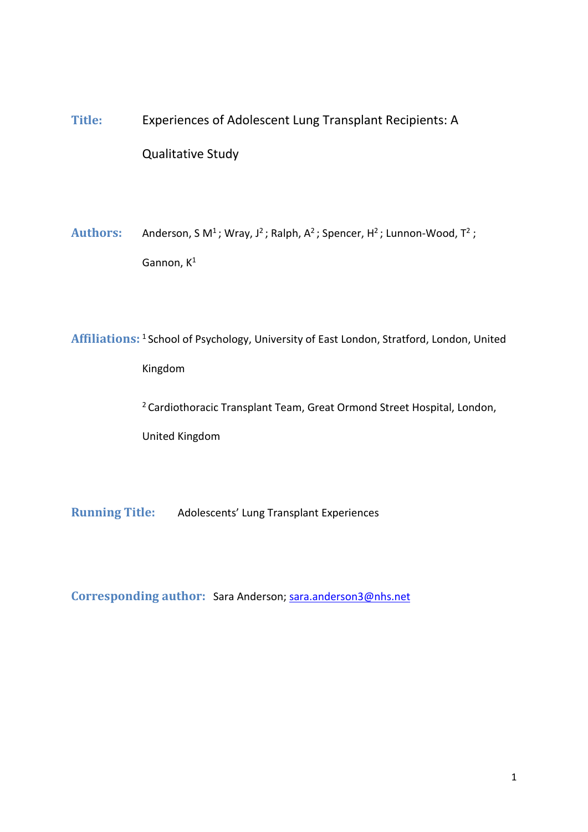**Title:** Experiences of Adolescent Lung Transplant Recipients: A Qualitative Study

Authors: Anderson, S M<sup>1</sup>; Wray, J<sup>2</sup>; Ralph, A<sup>2</sup>; Spencer, H<sup>2</sup>; Lunnon-Wood, T<sup>2</sup>; Gannon, K<sup>1</sup>

**Affiliations:** 1 School of Psychology, University of East London, Stratford, London, United Kingdom

2 Cardiothoracic Transplant Team, Great Ormond Street Hospital, London,

United Kingdom

**Running Title:** Adolescents' Lung Transplant Experiences

**Corresponding author:** Sara Anderson; [sara.anderson3@nhs.net](mailto:sara.anderson3@nhs.net)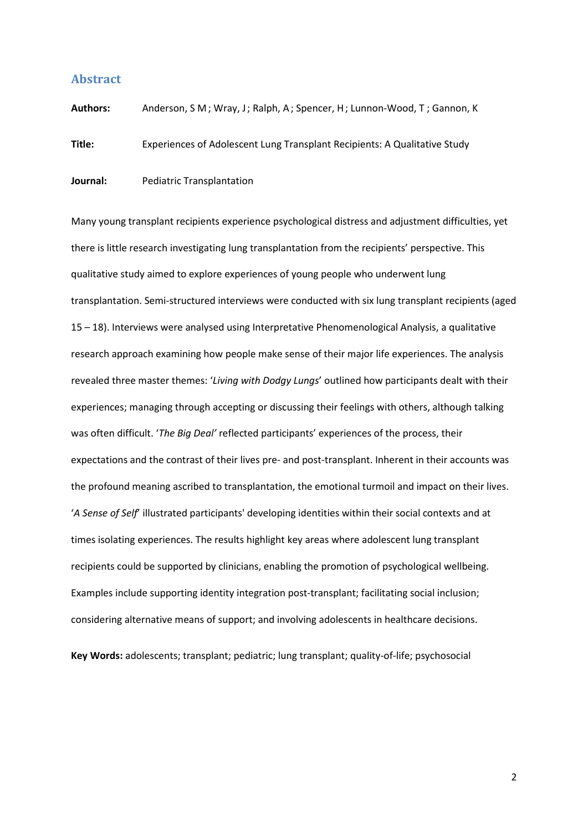### **Abstract**

**Authors:** Anderson, S M; Wray, J; Ralph, A; Spencer, H; Lunnon-Wood, T ; Gannon, K **Title:** Experiences of Adolescent Lung Transplant Recipients: A Qualitative Study **Journal:** Pediatric Transplantation

Many young transplant recipients experience psychological distress and adjustment difficulties, yet there is little research investigating lung transplantation from the recipients' perspective. This qualitative study aimed to explore experiences of young people who underwent lung transplantation. Semi-structured interviews were conducted with six lung transplant recipients (aged 15 – 18). Interviews were analysed using Interpretative Phenomenological Analysis, a qualitative research approach examining how people make sense of their major life experiences. The analysis revealed three master themes: '*Living with Dodgy Lungs*' outlined how participants dealt with their experiences; managing through accepting or discussing their feelings with others, although talking was often difficult. '*The Big Deal'* reflected participants' experiences of the process, their expectations and the contrast of their lives pre- and post-transplant. Inherent in their accounts was the profound meaning ascribed to transplantation, the emotional turmoil and impact on their lives. '*A Sense of Self*' illustrated participants' developing identities within their social contexts and at times isolating experiences. The results highlight key areas where adolescent lung transplant recipients could be supported by clinicians, enabling the promotion of psychological wellbeing. Examples include supporting identity integration post-transplant; facilitating social inclusion; considering alternative means of support; and involving adolescents in healthcare decisions.

**Key Words:** adolescents; transplant; pediatric; lung transplant; quality-of-life; psychosocial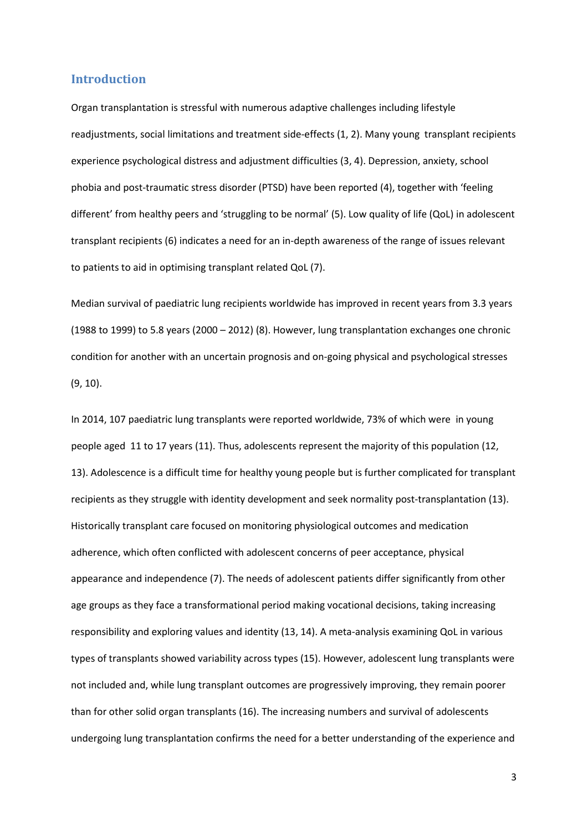## **Introduction**

Organ transplantation is stressful with numerous adaptive challenges including lifestyle readjustments, social limitations and treatment side-effects [\(1,](#page-23-0) [2\)](#page-23-1). Many young transplant recipients experience psychological distress and adjustment difficulties [\(3,](#page-23-2) [4\)](#page-23-3). Depression, anxiety, school phobia and post-traumatic stress disorder (PTSD) have been reported [\(4\)](#page-23-3), together with 'feeling different' from healthy peers and 'struggling to be normal' [\(5\)](#page-23-4). Low quality of life (QoL) in adolescent transplant recipients [\(6\)](#page-23-5) indicates a need for an in-depth awareness of the range of issues relevant to patients to aid in optimising transplant related QoL [\(7\)](#page-23-6).

Median survival of paediatric lung recipients worldwide has improved in recent years from 3.3 years (1988 to 1999) to 5.8 years (2000 – 2012) [\(8\)](#page-23-7). However, lung transplantation exchanges one chronic condition for another with an uncertain prognosis and on-going physical and psychological stresses [\(9,](#page-23-8) [10\)](#page-23-9).

In 2014, 107 paediatric lung transplants were reported worldwide, 73% of which were in young people aged 11 to 17 years [\(11\)](#page-23-10). Thus, adolescents represent the majority of this population [\(12,](#page-23-11) [13\)](#page-24-0). Adolescence is a difficult time for healthy young people but is further complicated for transplant recipients as they struggle with identity development and seek normality post-transplantation [\(13\)](#page-24-0). Historically transplant care focused on monitoring physiological outcomes and medication adherence, which often conflicted with adolescent concerns of peer acceptance, physical appearance and independence [\(7\)](#page-23-6). The needs of adolescent patients differ significantly from other age groups as they face a transformational period making vocational decisions, taking increasing responsibility and exploring values and identity [\(13,](#page-24-0) [14\)](#page-24-1). A meta-analysis examining QoL in various types of transplants showed variability across types [\(15\)](#page-24-2). However, adolescent lung transplants were not included and, while lung transplant outcomes are progressively improving, they remain poorer than for other solid organ transplants [\(16\)](#page-24-3). The increasing numbers and survival of adolescents undergoing lung transplantation confirms the need for a better understanding of the experience and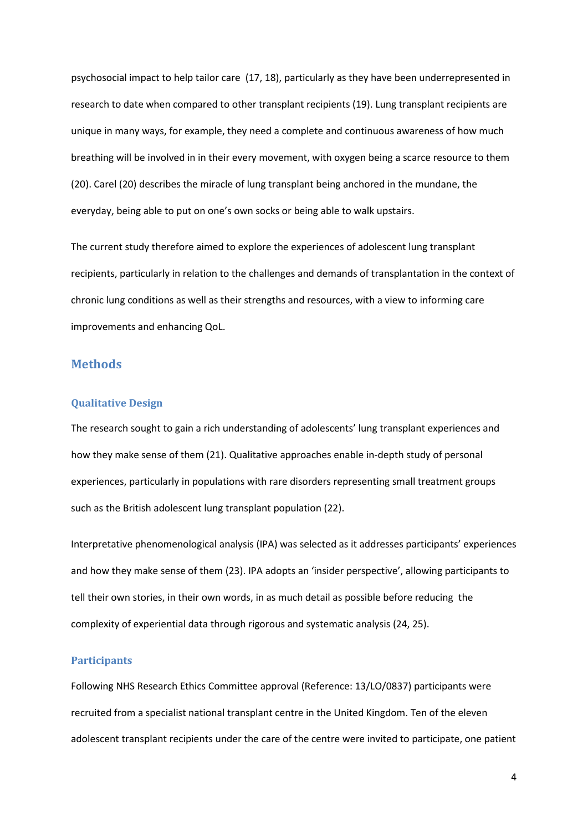psychosocial impact to help tailor care [\(17,](#page-24-4) [18\)](#page-24-5), particularly as they have been underrepresented in research to date when compared to other transplant recipients [\(19\)](#page-24-6). Lung transplant recipients are unique in many ways, for example, they need a complete and continuous awareness of how much breathing will be involved in in their every movement, with oxygen being a scarce resource to them [\(20\)](#page-24-7). Carel [\(20\)](#page-24-7) describes the miracle of lung transplant being anchored in the mundane, the everyday, being able to put on one's own socks or being able to walk upstairs.

The current study therefore aimed to explore the experiences of adolescent lung transplant recipients, particularly in relation to the challenges and demands of transplantation in the context of chronic lung conditions as well as their strengths and resources, with a view to informing care improvements and enhancing QoL.

## **Methods**

#### **Qualitative Design**

The research sought to gain a rich understanding of adolescents' lung transplant experiences and how they make sense of them [\(21\)](#page-24-8). Qualitative approaches enable in-depth study of personal experiences, particularly in populations with rare disorders representing small treatment groups such as the British adolescent lung transplant population [\(22\)](#page-24-9).

Interpretative phenomenological analysis (IPA) was selected as it addresses participants' experiences and how they make sense of them [\(23\)](#page-24-10). IPA adopts an 'insider perspective', allowing participants to tell their own stories, in their own words, in as much detail as possible before reducing the complexity of experiential data through rigorous and systematic analysis [\(24,](#page-24-11) [25\)](#page-24-12).

### **Participants**

Following NHS Research Ethics Committee approval (Reference: 13/LO/0837) participants were recruited from a specialist national transplant centre in the United Kingdom. Ten of the eleven adolescent transplant recipients under the care of the centre were invited to participate, one patient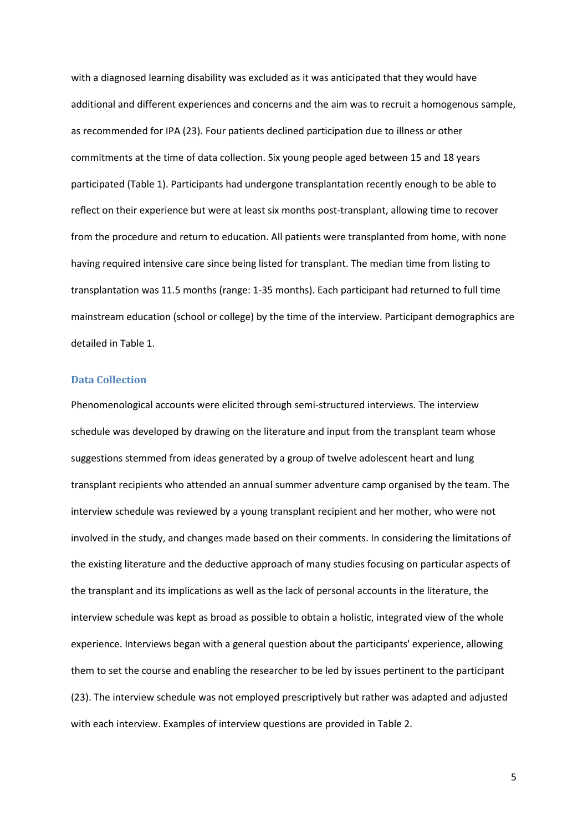with a diagnosed learning disability was excluded as it was anticipated that they would have additional and different experiences and concerns and the aim was to recruit a homogenous sample, as recommended for IPA [\(23\)](#page-24-10). Four patients declined participation due to illness or other commitments at the time of data collection. Six young people aged between 15 and 18 years participated (Table 1). Participants had undergone transplantation recently enough to be able to reflect on their experience but were at least six months post-transplant, allowing time to recover from the procedure and return to education. All patients were transplanted from home, with none having required intensive care since being listed for transplant. The median time from listing to transplantation was 11.5 months (range: 1-35 months). Each participant had returned to full time mainstream education (school or college) by the time of the interview. Participant demographics are detailed in Table 1.

#### **Data Collection**

Phenomenological accounts were elicited through semi-structured interviews. The interview schedule was developed by drawing on the literature and input from the transplant team whose suggestions stemmed from ideas generated by a group of twelve adolescent heart and lung transplant recipients who attended an annual summer adventure camp organised by the team. The interview schedule was reviewed by a young transplant recipient and her mother, who were not involved in the study, and changes made based on their comments. In considering the limitations of the existing literature and the deductive approach of many studies focusing on particular aspects of the transplant and its implications as well as the lack of personal accounts in the literature, the interview schedule was kept as broad as possible to obtain a holistic, integrated view of the whole experience. Interviews began with a general question about the participants' experience, allowing them to set the course and enabling the researcher to be led by issues pertinent to the participant [\(23\)](#page-24-10). The interview schedule was not employed prescriptively but rather was adapted and adjusted with each interview. Examples of interview questions are provided in Table 2.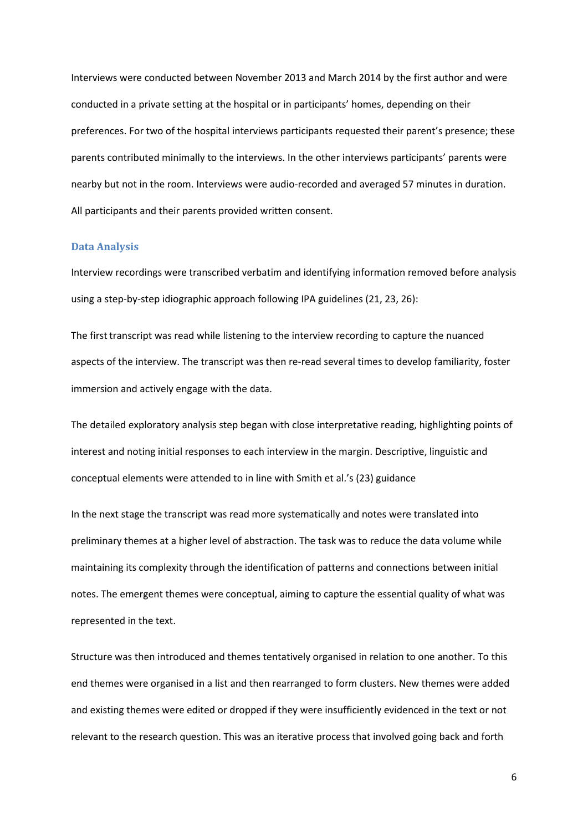Interviews were conducted between November 2013 and March 2014 by the first author and were conducted in a private setting at the hospital or in participants' homes, depending on their preferences. For two of the hospital interviews participants requested their parent's presence; these parents contributed minimally to the interviews. In the other interviews participants' parents were nearby but not in the room. Interviews were audio-recorded and averaged 57 minutes in duration. All participants and their parents provided written consent.

#### **Data Analysis**

Interview recordings were transcribed verbatim and identifying information removed before analysis using a step-by-step idiographic approach following IPA guidelines [\(21,](#page-24-8) [23,](#page-24-10) [26\)](#page-24-13):

The first transcript was read while listening to the interview recording to capture the nuanced aspects of the interview. The transcript was then re-read several times to develop familiarity, foster immersion and actively engage with the data.

The detailed exploratory analysis step began with close interpretative reading, highlighting points of interest and noting initial responses to each interview in the margin. Descriptive, linguistic and conceptual elements were attended to in line with Smith et al.'s [\(23\)](#page-24-10) guidance

In the next stage the transcript was read more systematically and notes were translated into preliminary themes at a higher level of abstraction. The task was to reduce the data volume while maintaining its complexity through the identification of patterns and connections between initial notes. The emergent themes were conceptual, aiming to capture the essential quality of what was represented in the text.

Structure was then introduced and themes tentatively organised in relation to one another. To this end themes were organised in a list and then rearranged to form clusters. New themes were added and existing themes were edited or dropped if they were insufficiently evidenced in the text or not relevant to the research question. This was an iterative process that involved going back and forth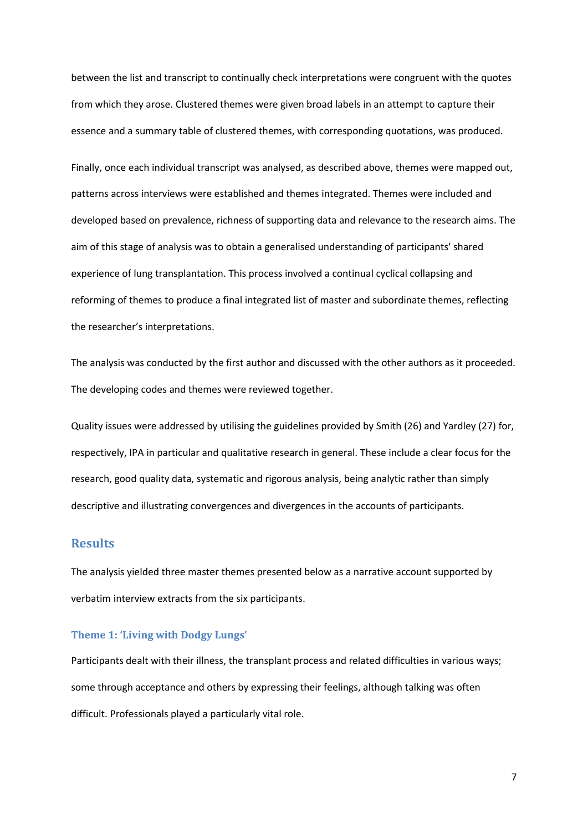between the list and transcript to continually check interpretations were congruent with the quotes from which they arose. Clustered themes were given broad labels in an attempt to capture their essence and a summary table of clustered themes, with corresponding quotations, was produced.

Finally, once each individual transcript was analysed, as described above, themes were mapped out, patterns across interviews were established and themes integrated. Themes were included and developed based on prevalence, richness of supporting data and relevance to the research aims. The aim of this stage of analysis was to obtain a generalised understanding of participants' shared experience of lung transplantation. This process involved a continual cyclical collapsing and reforming of themes to produce a final integrated list of master and subordinate themes, reflecting the researcher's interpretations.

The analysis was conducted by the first author and discussed with the other authors as it proceeded. The developing codes and themes were reviewed together.

Quality issues were addressed by utilising the guidelines provided by Smith (26) and Yardley (27) for, respectively, IPA in particular and qualitative research in general. These include a clear focus for the research, good quality data, systematic and rigorous analysis, being analytic rather than simply descriptive and illustrating convergences and divergences in the accounts of participants.

## **Results**

The analysis yielded three master themes presented below as a narrative account supported by verbatim interview extracts from the six participants.

### **Theme 1: 'Living with Dodgy Lungs'**

Participants dealt with their illness, the transplant process and related difficulties in various ways; some through acceptance and others by expressing their feelings, although talking was often difficult. Professionals played a particularly vital role.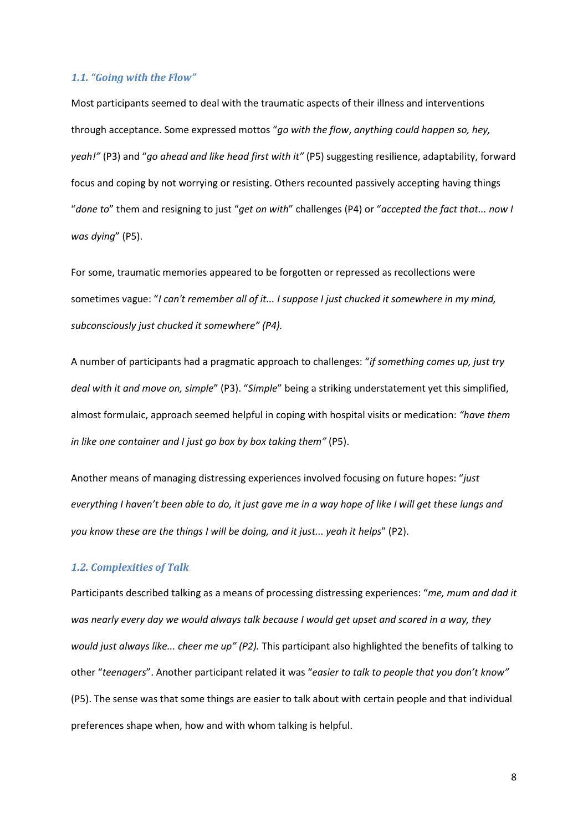#### *1.1. "Going with the Flow"*

Most participants seemed to deal with the traumatic aspects of their illness and interventions through acceptance. Some expressed mottos "*go with the flow*, *anything could happen so, hey, yeah!"* (P3) and "*go ahead and like head first with it"* (P5) suggesting resilience, adaptability, forward focus and coping by not worrying or resisting. Others recounted passively accepting having things "*done to*" them and resigning to just "*get on with*" challenges (P4) or "*accepted the fact that... now I was dying*" (P5).

For some, traumatic memories appeared to be forgotten or repressed as recollections were sometimes vague: "*I can't remember all of it... I suppose I just chucked it somewhere in my mind, subconsciously just chucked it somewhere" (P4).* 

A number of participants had a pragmatic approach to challenges: "*if something comes up, just try deal with it and move on, simple*" (P3). "*Simple*" being a striking understatement yet this simplified, almost formulaic, approach seemed helpful in coping with hospital visits or medication: *"have them in like one container and I just go box by box taking them"* (P5).

Another means of managing distressing experiences involved focusing on future hopes: "*just everything I haven't been able to do, it just gave me in a way hope of like I will get these lungs and you know these are the things I will be doing, and it just... yeah it helps*" (P2).

#### *1.2. Complexities of Talk*

Participants described talking as a means of processing distressing experiences: "*me, mum and dad it was nearly every day we would always talk because I would get upset and scared in a way, they would just always like... cheer me up" (P2).* This participant also highlighted the benefits of talking to other "*teenagers*". Another participant related it was "*easier to talk to people that you don't know"*  (P5). The sense was that some things are easier to talk about with certain people and that individual preferences shape when, how and with whom talking is helpful.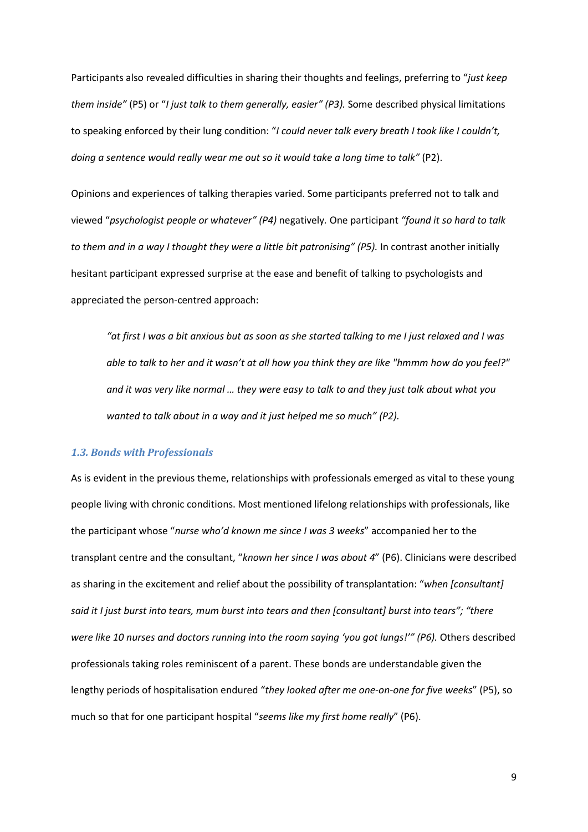Participants also revealed difficulties in sharing their thoughts and feelings, preferring to "*just keep them inside"* (P5) or "*I just talk to them generally, easier" (P3).* Some described physical limitations to speaking enforced by their lung condition: "*I could never talk every breath I took like I couldn't, doing a sentence would really wear me out so it would take a long time to talk"* (P2).

Opinions and experiences of talking therapies varied. Some participants preferred not to talk and viewed "*psychologist people or whatever" (P4)* negatively*.* One participant *"found it so hard to talk*  to them and in a way I thought they were a little bit patronising" (P5). In contrast another initially hesitant participant expressed surprise at the ease and benefit of talking to psychologists and appreciated the person-centred approach:

*"at first I was a bit anxious but as soon as she started talking to me I just relaxed and I was able to talk to her and it wasn't at all how you think they are like "hmmm how do you feel?" and it was very like normal … they were easy to talk to and they just talk about what you wanted to talk about in a way and it just helped me so much" (P2).*

## *1.3. Bonds with Professionals*

As is evident in the previous theme, relationships with professionals emerged as vital to these young people living with chronic conditions. Most mentioned lifelong relationships with professionals, like the participant whose "*nurse who'd known me since I was 3 weeks*" accompanied her to the transplant centre and the consultant, "*known her since I was about 4*" (P6). Clinicians were described as sharing in the excitement and relief about the possibility of transplantation: "*when [consultant] said it I just burst into tears, mum burst into tears and then [consultant] burst into tears"; "there*  were like 10 nurses and doctors running into the room saying 'you got lungs!'" (P6). Others described professionals taking roles reminiscent of a parent. These bonds are understandable given the lengthy periods of hospitalisation endured "*they looked after me one-on-one for five weeks*" (P5), so much so that for one participant hospital "*seems like my first home really*" (P6).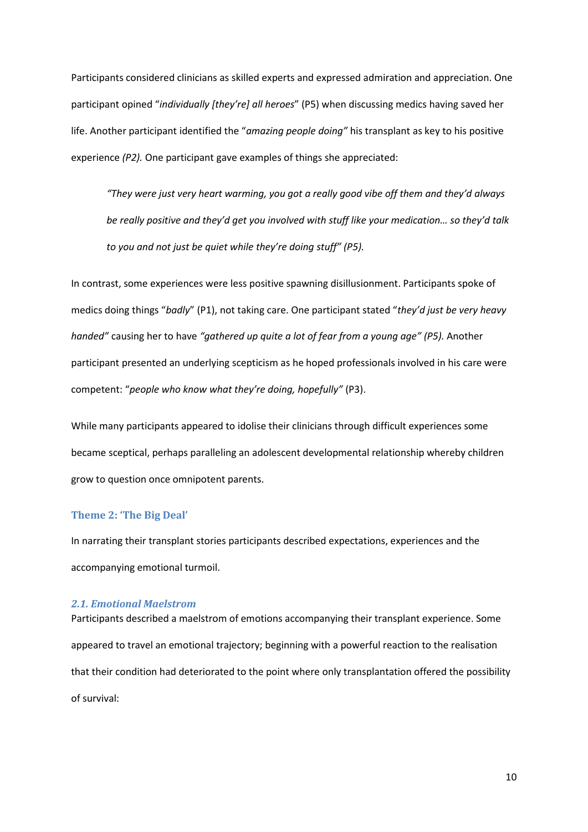Participants considered clinicians as skilled experts and expressed admiration and appreciation. One participant opined "*individually [they're] all heroes*" (P5) when discussing medics having saved her life. Another participant identified the "*amazing people doing"* his transplant as key to his positive experience *(P2).* One participant gave examples of things she appreciated:

*"They were just very heart warming, you got a really good vibe off them and they'd always be really positive and they'd get you involved with stuff like your medication… so they'd talk to you and not just be quiet while they're doing stuff" (P5).*

In contrast, some experiences were less positive spawning disillusionment. Participants spoke of medics doing things "*badly*" (P1), not taking care. One participant stated "*they'd just be very heavy handed"* causing her to have *"gathered up quite a lot of fear from a young age" (P5).* Another participant presented an underlying scepticism as he hoped professionals involved in his care were competent: "*people who know what they're doing, hopefully"* (P3).

While many participants appeared to idolise their clinicians through difficult experiences some became sceptical, perhaps paralleling an adolescent developmental relationship whereby children grow to question once omnipotent parents.

#### **Theme 2: 'The Big Deal'**

In narrating their transplant stories participants described expectations, experiences and the accompanying emotional turmoil.

### *2.1. Emotional Maelstrom*

Participants described a maelstrom of emotions accompanying their transplant experience. Some appeared to travel an emotional trajectory; beginning with a powerful reaction to the realisation that their condition had deteriorated to the point where only transplantation offered the possibility of survival: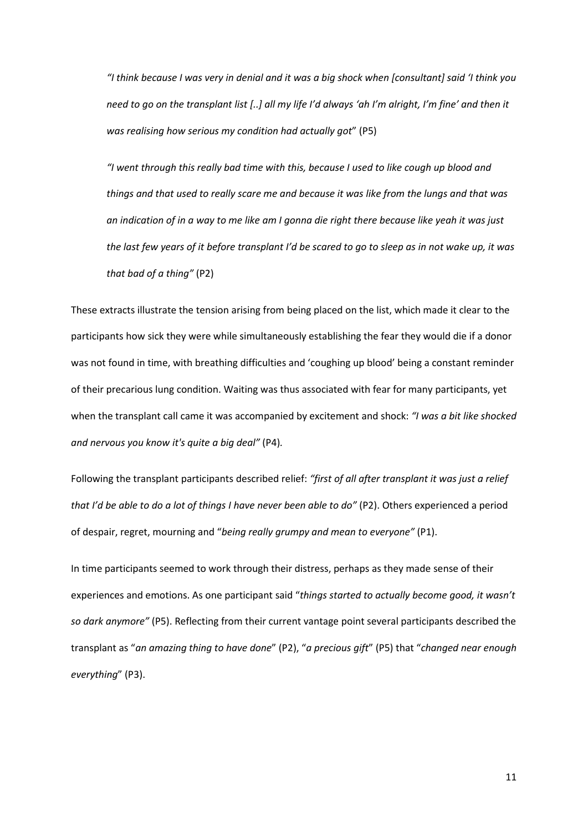*"I think because I was very in denial and it was a big shock when [consultant] said 'I think you need to go on the transplant list [..] all my life I'd always 'ah I'm alright, I'm fine' and then it was realising how serious my condition had actually got*" (P5)

*"I went through this really bad time with this, because I used to like cough up blood and things and that used to really scare me and because it was like from the lungs and that was an indication of in a way to me like am I gonna die right there because like yeah it was just the last few years of it before transplant I'd be scared to go to sleep as in not wake up, it was that bad of a thing"* (P2)

These extracts illustrate the tension arising from being placed on the list, which made it clear to the participants how sick they were while simultaneously establishing the fear they would die if a donor was not found in time, with breathing difficulties and 'coughing up blood' being a constant reminder of their precarious lung condition. Waiting was thus associated with fear for many participants, yet when the transplant call came it was accompanied by excitement and shock: *"I was a bit like shocked and nervous you know it's quite a big deal"* (P4)*.* 

Following the transplant participants described relief: *"first of all after transplant it was just a relief that I'd be able to do a lot of things I have never been able to do"* (P2). Others experienced a period of despair, regret, mourning and "*being really grumpy and mean to everyone"* (P1).

In time participants seemed to work through their distress, perhaps as they made sense of their experiences and emotions. As one participant said "*things started to actually become good, it wasn't so dark anymore"* (P5). Reflecting from their current vantage point several participants described the transplant as "*an amazing thing to have done*" (P2), "*a precious gift*" (P5) that "*changed near enough everything*" (P3).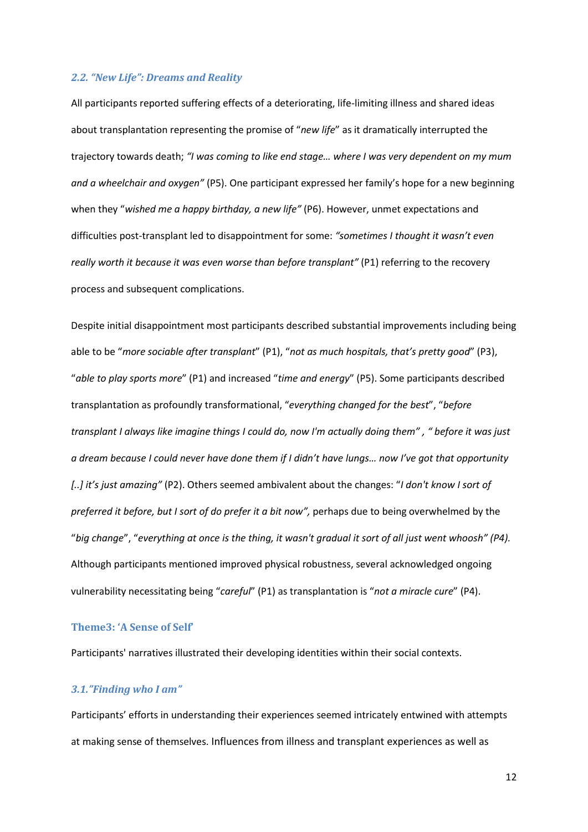### *2.2. "New Life": Dreams and Reality*

All participants reported suffering effects of a deteriorating, life-limiting illness and shared ideas about transplantation representing the promise of "*new life*" as it dramatically interrupted the trajectory towards death; *"I was coming to like end stage… where I was very dependent on my mum and a wheelchair and oxygen"* (P5). One participant expressed her family's hope for a new beginning when they "*wished me a happy birthday, a new life"* (P6). However, unmet expectations and difficulties post-transplant led to disappointment for some: *"sometimes I thought it wasn't even really worth it because it was even worse than before transplant"* (P1) referring to the recovery process and subsequent complications.

Despite initial disappointment most participants described substantial improvements including being able to be "*more sociable after transplant*" (P1), "*not as much hospitals, that's pretty good*" (P3), "*able to play sports more*" (P1) and increased "*time and energy*" (P5). Some participants described transplantation as profoundly transformational, "*everything changed for the best*", "*before transplant I always like imagine things I could do, now I'm actually doing them" , " before it was just a dream because I could never have done them if I didn't have lungs… now I've got that opportunity [..] it's just amazing"* (P2). Others seemed ambivalent about the changes: "*I don't know I sort of preferred it before, but I sort of do prefer it a bit now",* perhaps due to being overwhelmed by the "*big change*", "*everything at once is the thing, it wasn't gradual it sort of all just went whoosh" (P4).*  Although participants mentioned improved physical robustness, several acknowledged ongoing vulnerability necessitating being "*careful*" (P1) as transplantation is "*not a miracle cure*" (P4).

## **Theme3: 'A Sense of Self'**

Participants' narratives illustrated their developing identities within their social contexts.

## *3.1."Finding who I am"*

Participants' efforts in understanding their experiences seemed intricately entwined with attempts at making sense of themselves. Influences from illness and transplant experiences as well as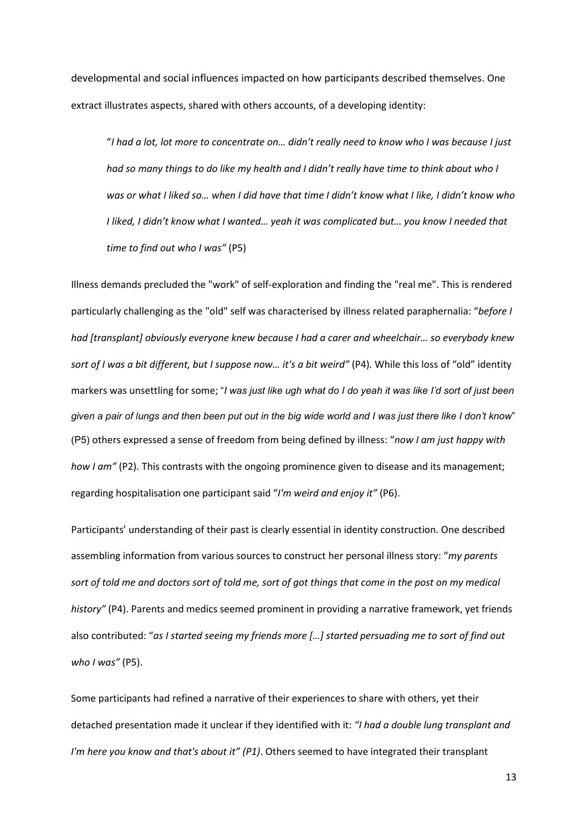developmental and social influences impacted on how participants described themselves. One extract illustrates aspects, shared with others accounts, of a developing identity:

"*I had a lot, lot more to concentrate on… didn't really need to know who I was because I just had so many things to do like my health and I didn't really have time to think about who I was or what I liked so… when I did have that time I didn't know what I like, I didn't know who I liked, I didn't know what I wanted… yeah it was complicated but… you know I needed that time to find out who I was"* (P5)

Illness demands precluded the "work" of self-exploration and finding the "real me". This is rendered particularly challenging as the "old" self was characterised by illness related paraphernalia: "*before I had [transplant] obviously everyone knew because I had a carer and wheelchair… so everybody knew sort of I was a bit different, but I suppose now… it's a bit weird"* (P4)*.* While this loss of "old" identity markers was unsettling for some; "*I was just like ugh what do I do yeah it was like I'd sort of just been given a pair of lungs and then been put out in the big wide world and I was just there like I don't know*" (P5) others expressed a sense of freedom from being defined by illness: "*now I am just happy with how I am"* (P2)*.* This contrasts with the ongoing prominence given to disease and its management; regarding hospitalisation one participant said "*I'm weird and enjoy it"* (P6).

Participants' understanding of their past is clearly essential in identity construction. One described assembling information from various sources to construct her personal illness story: "*my parents sort of told me and doctors sort of told me, sort of got things that come in the post on my medical history"* (P4). Parents and medics seemed prominent in providing a narrative framework, yet friends also contributed: "*as I started seeing my friends more […] started persuading me to sort of find out who I was"* (P5).

Some participants had refined a narrative of their experiences to share with others, yet their detached presentation made it unclear if they identified with it: *"I had a double lung transplant and I'm here you know and that's about it" (P1)*. Others seemed to have integrated their transplant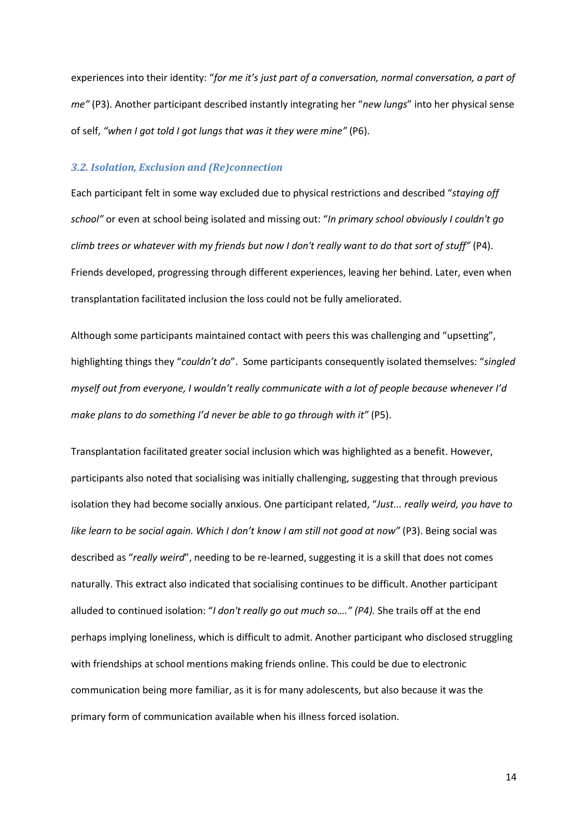experiences into their identity: "*for me it's just part of a conversation, normal conversation, a part of me"* (P3). Another participant described instantly integrating her "*new lungs*" into her physical sense of self, *"when I got told I got lungs that was it they were mine"* (P6).

### *3.2. Isolation, Exclusion and (Re)connection*

Each participant felt in some way excluded due to physical restrictions and described "*staying off school"* or even at school being isolated and missing out: "*In primary school obviously I couldn't go climb trees or whatever with my friends but now I don't really want to do that sort of stuff"* (P4). Friends developed, progressing through different experiences, leaving her behind. Later, even when transplantation facilitated inclusion the loss could not be fully ameliorated.

Although some participants maintained contact with peers this was challenging and "upsetting", highlighting things they "*couldn't do*". Some participants consequently isolated themselves: "*singled myself out from everyone, I wouldn't really communicate with a lot of people because whenever I'd make plans to do something I'd never be able to go through with it"* (P5).

Transplantation facilitated greater social inclusion which was highlighted as a benefit. However, participants also noted that socialising was initially challenging, suggesting that through previous isolation they had become socially anxious. One participant related, "*Just... really weird, you have to like learn to be social again. Which I don't know I am still not good at now"* (P3). Being social was described as "*really weird*", needing to be re-learned, suggesting it is a skill that does not comes naturally. This extract also indicated that socialising continues to be difficult. Another participant alluded to continued isolation: "*I don't really go out much so…." (P4).* She trails off at the end perhaps implying loneliness, which is difficult to admit. Another participant who disclosed struggling with friendships at school mentions making friends online. This could be due to electronic communication being more familiar, as it is for many adolescents, but also because it was the primary form of communication available when his illness forced isolation.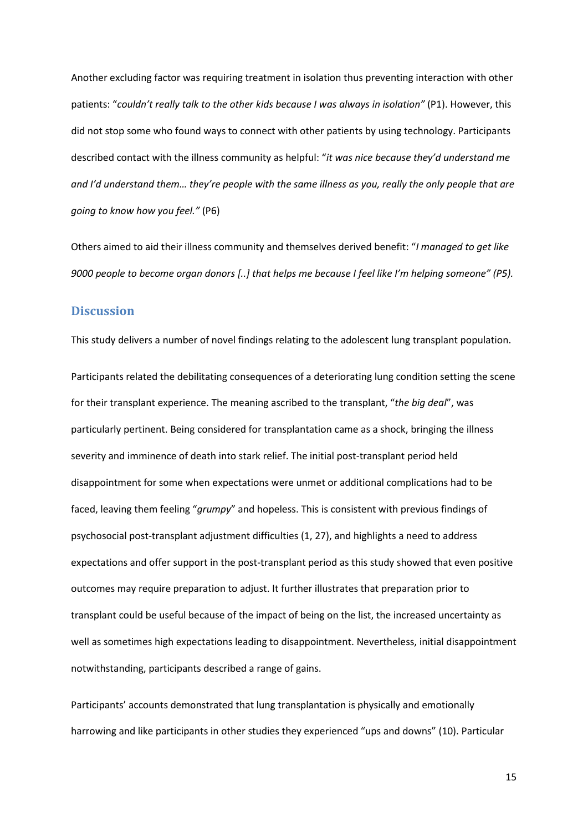Another excluding factor was requiring treatment in isolation thus preventing interaction with other patients: "couldn't really talk to the other kids because I was always in isolation" (P1). However, this did not stop some who found ways to connect with other patients by using technology. Participants described contact with the illness community as helpful: "*it was nice because they'd understand me and I'd understand them… they're people with the same illness as you, really the only people that are going to know how you feel."* (P6)

Others aimed to aid their illness community and themselves derived benefit: "*I managed to get like 9000 people to become organ donors [..] that helps me because I feel like I'm helping someone" (P5).*

## **Discussion**

This study delivers a number of novel findings relating to the adolescent lung transplant population.

Participants related the debilitating consequences of a deteriorating lung condition setting the scene for their transplant experience. The meaning ascribed to the transplant, "*the big deal*", was particularly pertinent. Being considered for transplantation came as a shock, bringing the illness severity and imminence of death into stark relief. The initial post-transplant period held disappointment for some when expectations were unmet or additional complications had to be faced, leaving them feeling "*grumpy*" and hopeless. This is consistent with previous findings of psychosocial post-transplant adjustment difficulties [\(1,](#page-23-0) [27\)](#page-24-14), and highlights a need to address expectations and offer support in the post-transplant period as this study showed that even positive outcomes may require preparation to adjust. It further illustrates that preparation prior to transplant could be useful because of the impact of being on the list, the increased uncertainty as well as sometimes high expectations leading to disappointment. Nevertheless, initial disappointment notwithstanding, participants described a range of gains.

Participants' accounts demonstrated that lung transplantation is physically and emotionally harrowing and like participants in other studies they experienced "ups and downs" [\(10\)](#page-23-9). Particular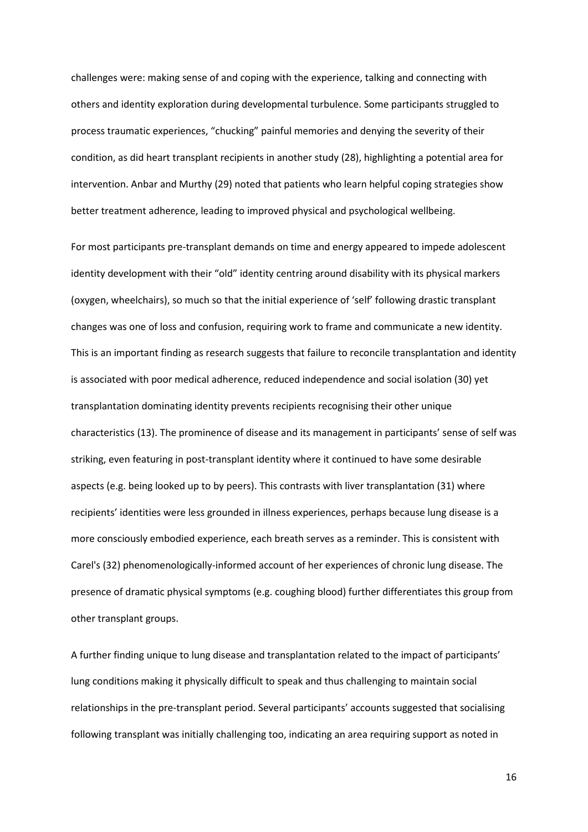challenges were: making sense of and coping with the experience, talking and connecting with others and identity exploration during developmental turbulence. Some participants struggled to process traumatic experiences, "chucking" painful memories and denying the severity of their condition, as did heart transplant recipients in another study [\(28\)](#page-24-15), highlighting a potential area for intervention. Anbar and Murthy [\(29\)](#page-25-0) noted that patients who learn helpful coping strategies show better treatment adherence, leading to improved physical and psychological wellbeing.

For most participants pre-transplant demands on time and energy appeared to impede adolescent identity development with their "old" identity centring around disability with its physical markers (oxygen, wheelchairs), so much so that the initial experience of 'self' following drastic transplant changes was one of loss and confusion, requiring work to frame and communicate a new identity. This is an important finding as research suggests that failure to reconcile transplantation and identity is associated with poor medical adherence, reduced independence and social isolation [\(30\)](#page-25-1) yet transplantation dominating identity prevents recipients recognising their other unique characteristics [\(13\)](#page-24-0). The prominence of disease and its management in participants' sense of self was striking, even featuring in post-transplant identity where it continued to have some desirable aspects (e.g. being looked up to by peers). This contrasts with liver transplantation [\(31\)](#page-25-2) where recipients' identities were less grounded in illness experiences, perhaps because lung disease is a more consciously embodied experience, each breath serves as a reminder. This is consistent with Carel's [\(32\)](#page-25-3) phenomenologically-informed account of her experiences of chronic lung disease. The presence of dramatic physical symptoms (e.g. coughing blood) further differentiates this group from other transplant groups.

A further finding unique to lung disease and transplantation related to the impact of participants' lung conditions making it physically difficult to speak and thus challenging to maintain social relationships in the pre-transplant period. Several participants' accounts suggested that socialising following transplant was initially challenging too, indicating an area requiring support as noted in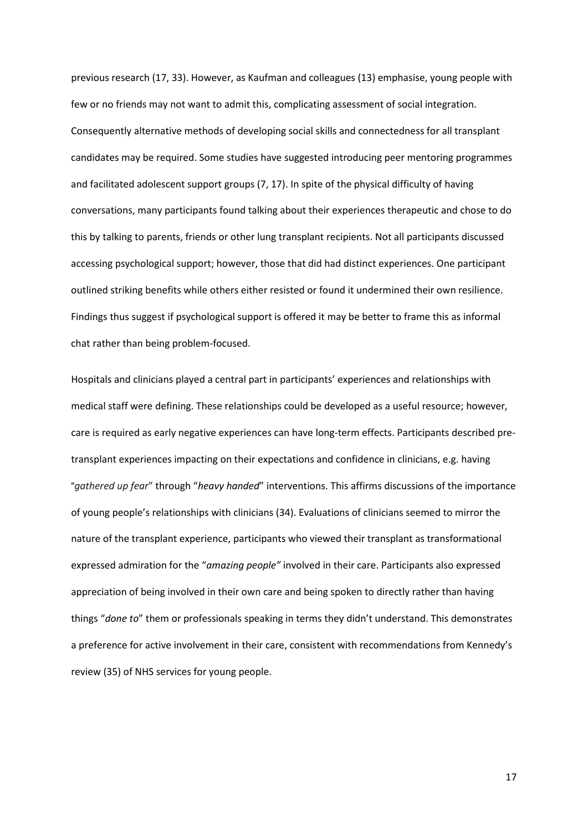previous research [\(17,](#page-24-4) [33\)](#page-25-4). However, as Kaufman and colleagues [\(13\)](#page-24-0) emphasise, young people with few or no friends may not want to admit this, complicating assessment of social integration. Consequently alternative methods of developing social skills and connectedness for all transplant candidates may be required. Some studies have suggested introducing peer mentoring programmes and facilitated adolescent support groups [\(7,](#page-23-6) [17\)](#page-24-4). In spite of the physical difficulty of having conversations, many participants found talking about their experiences therapeutic and chose to do this by talking to parents, friends or other lung transplant recipients. Not all participants discussed accessing psychological support; however, those that did had distinct experiences. One participant outlined striking benefits while others either resisted or found it undermined their own resilience. Findings thus suggest if psychological support is offered it may be better to frame this as informal chat rather than being problem-focused.

Hospitals and clinicians played a central part in participants' experiences and relationships with medical staff were defining. These relationships could be developed as a useful resource; however, care is required as early negative experiences can have long-term effects. Participants described pretransplant experiences impacting on their expectations and confidence in clinicians, e.g. having "*gathered up fear*" through "*heavy handed*" interventions. This affirms discussions of the importance of young people's relationships with clinicians [\(34\)](#page-25-5). Evaluations of clinicians seemed to mirror the nature of the transplant experience, participants who viewed their transplant as transformational expressed admiration for the "*amazing people"* involved in their care. Participants also expressed appreciation of being involved in their own care and being spoken to directly rather than having things "*done to*" them or professionals speaking in terms they didn't understand. This demonstrates a preference for active involvement in their care, consistent with recommendations from Kennedy's review [\(35\)](#page-25-6) of NHS services for young people.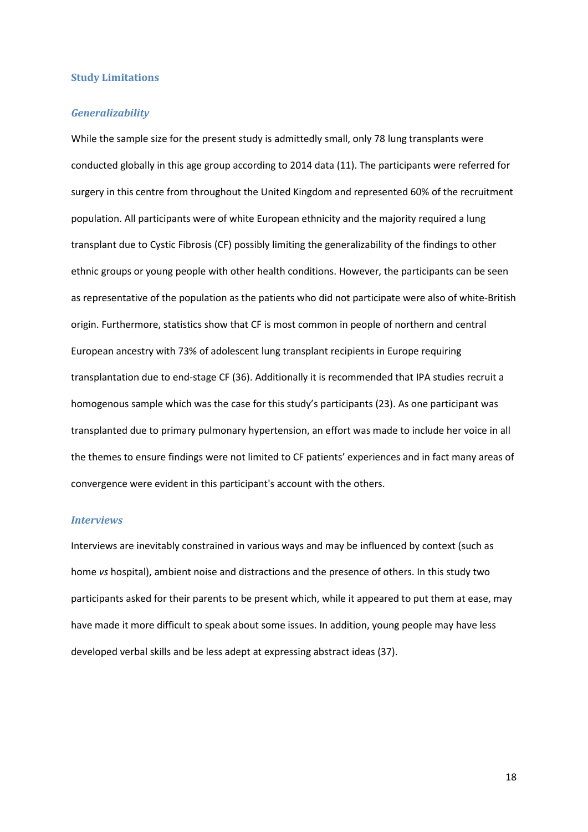#### **Study Limitations**

### *Generalizability*

While the sample size for the present study is admittedly small, only 78 lung transplants were conducted globally in this age group according to 2014 data (11). The participants were referred for surgery in this centre from throughout the United Kingdom and represented 60% of the recruitment population. All participants were of white European ethnicity and the majority required a lung transplant due to Cystic Fibrosis (CF) possibly limiting the generalizability of the findings to other ethnic groups or young people with other health conditions. However, the participants can be seen as representative of the population as the patients who did not participate were also of white-British origin. Furthermore, statistics show that CF is most common in people of northern and central European ancestry with 73% of adolescent lung transplant recipients in Europe requiring transplantation due to end-stage CF [\(36\)](#page-25-7). Additionally it is recommended that IPA studies recruit a homogenous sample which was the case for this study's participants [\(23\)](#page-24-10). As one participant was transplanted due to primary pulmonary hypertension, an effort was made to include her voice in all the themes to ensure findings were not limited to CF patients' experiences and in fact many areas of convergence were evident in this participant's account with the others.

#### *Interviews*

Interviews are inevitably constrained in various ways and may be influenced by context (such as home *vs* hospital), ambient noise and distractions and the presence of others. In this study two participants asked for their parents to be present which, while it appeared to put them at ease, may have made it more difficult to speak about some issues. In addition, young people may have less developed verbal skills and be less adept at expressing abstract ideas [\(37\)](#page-25-8).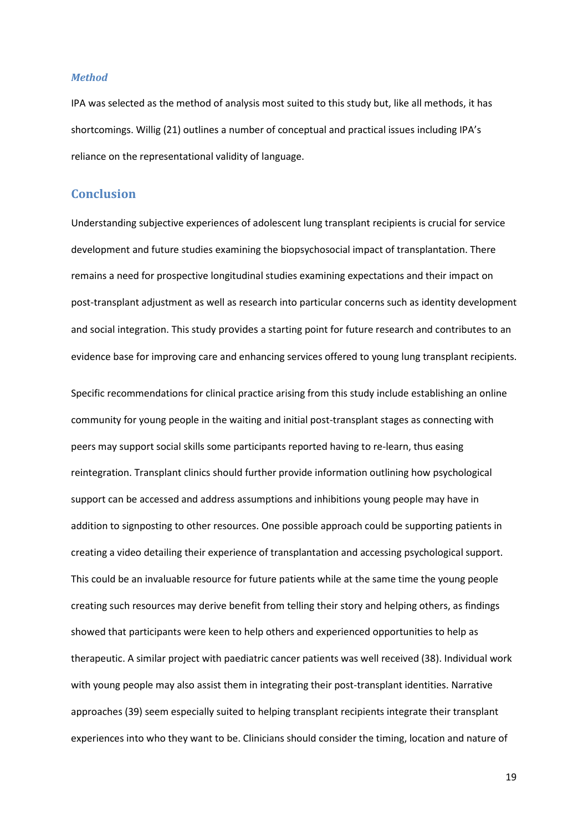#### *Method*

IPA was selected as the method of analysis most suited to this study but, like all methods, it has shortcomings. Willig [\(21\)](#page-24-8) outlines a number of conceptual and practical issues including IPA's reliance on the representational validity of language.

## **Conclusion**

Understanding subjective experiences of adolescent lung transplant recipients is crucial for service development and future studies examining the biopsychosocial impact of transplantation. There remains a need for prospective longitudinal studies examining expectations and their impact on post-transplant adjustment as well as research into particular concerns such as identity development and social integration. This study provides a starting point for future research and contributes to an evidence base for improving care and enhancing services offered to young lung transplant recipients.

Specific recommendations for clinical practice arising from this study include establishing an online community for young people in the waiting and initial post-transplant stages as connecting with peers may support social skills some participants reported having to re-learn, thus easing reintegration. Transplant clinics should further provide information outlining how psychological support can be accessed and address assumptions and inhibitions young people may have in addition to signposting to other resources. One possible approach could be supporting patients in creating a video detailing their experience of transplantation and accessing psychological support. This could be an invaluable resource for future patients while at the same time the young people creating such resources may derive benefit from telling their story and helping others, as findings showed that participants were keen to help others and experienced opportunities to help as therapeutic. A similar project with paediatric cancer patients was well received [\(38\)](#page-25-9). Individual work with young people may also assist them in integrating their post-transplant identities. Narrative approaches [\(39\)](#page-25-10) seem especially suited to helping transplant recipients integrate their transplant experiences into who they want to be. Clinicians should consider the timing, location and nature of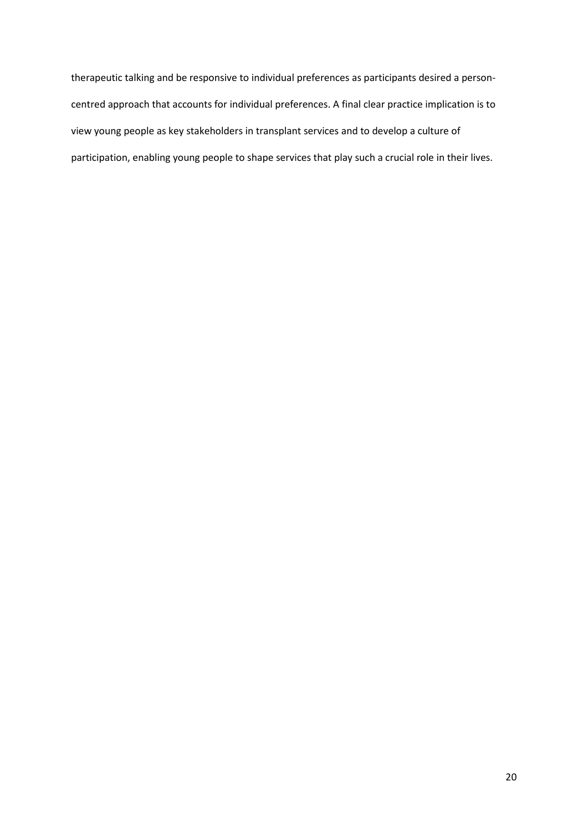therapeutic talking and be responsive to individual preferences as participants desired a personcentred approach that accounts for individual preferences. A final clear practice implication is to view young people as key stakeholders in transplant services and to develop a culture of participation, enabling young people to shape services that play such a crucial role in their lives.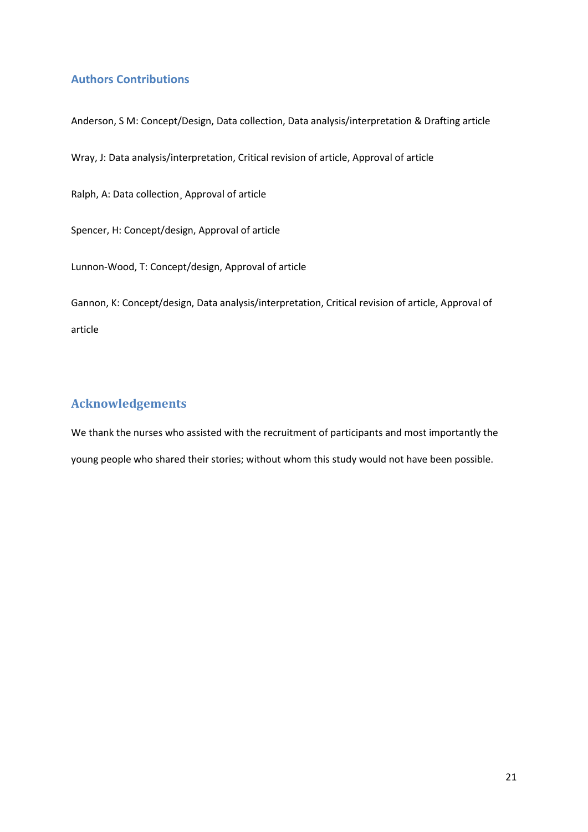## **Authors Contributions**

Anderson, S M: Concept/Design, Data collection, Data analysis/interpretation & Drafting article

Wray, J: Data analysis/interpretation, Critical revision of article, Approval of article

Ralph, A: Data collection¸ Approval of article

Spencer, H: Concept/design, Approval of article

Lunnon-Wood, T: Concept/design, Approval of article

Gannon, K: Concept/design, Data analysis/interpretation, Critical revision of article, Approval of article

# **Acknowledgements**

We thank the nurses who assisted with the recruitment of participants and most importantly the young people who shared their stories; without whom this study would not have been possible.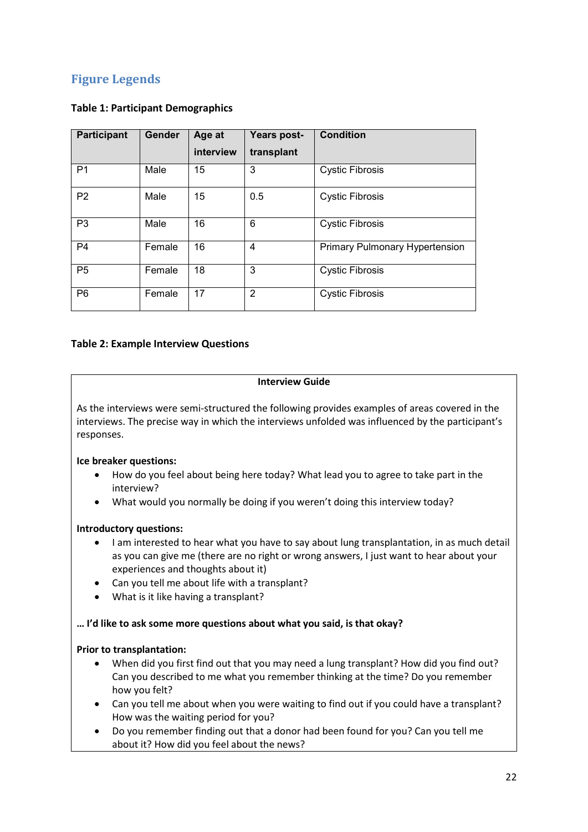# **Figure Legends**

| <b>Participant</b> | Gender | Age at    | Years post- | <b>Condition</b>                      |
|--------------------|--------|-----------|-------------|---------------------------------------|
|                    |        | interview | transplant  |                                       |
| P <sub>1</sub>     | Male   | 15        | 3           | <b>Cystic Fibrosis</b>                |
| P <sub>2</sub>     | Male   | 15        | 0.5         | <b>Cystic Fibrosis</b>                |
| P <sub>3</sub>     | Male   | 16        | 6           | <b>Cystic Fibrosis</b>                |
| P <sub>4</sub>     | Female | 16        | 4           | <b>Primary Pulmonary Hypertension</b> |
| P <sub>5</sub>     | Female | 18        | 3           | <b>Cystic Fibrosis</b>                |
| P <sub>6</sub>     | Female | 17        | 2           | <b>Cystic Fibrosis</b>                |

## **Table 1: Participant Demographics**

## **Table 2: Example Interview Questions**

## **Interview Guide**

As the interviews were semi-structured the following provides examples of areas covered in the interviews. The precise way in which the interviews unfolded was influenced by the participant's responses.

## **Ice breaker questions:**

- How do you feel about being here today? What lead you to agree to take part in the interview?
- What would you normally be doing if you weren't doing this interview today?

## **Introductory questions:**

- I am interested to hear what you have to say about lung transplantation, in as much detail as you can give me (there are no right or wrong answers, I just want to hear about your experiences and thoughts about it)
- Can you tell me about life with a transplant?
- What is it like having a transplant?

## **… I'd like to ask some more questions about what you said, is that okay?**

## **Prior to transplantation:**

- When did you first find out that you may need a lung transplant? How did you find out? Can you described to me what you remember thinking at the time? Do you remember how you felt?
- Can you tell me about when you were waiting to find out if you could have a transplant? How was the waiting period for you?
- Do you remember finding out that a donor had been found for you? Can you tell me about it? How did you feel about the news?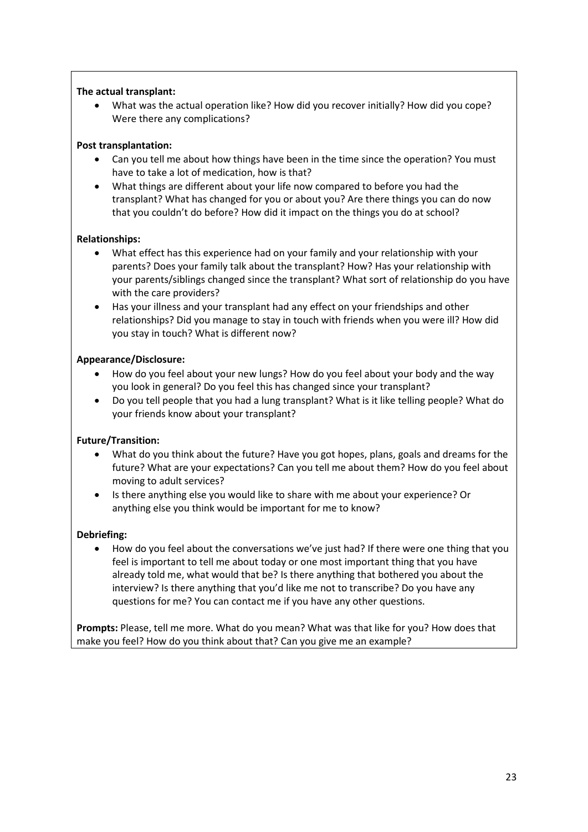## **The actual transplant:**

• What was the actual operation like? How did you recover initially? How did you cope? Were there any complications?

## **Post transplantation:**

- Can you tell me about how things have been in the time since the operation? You must have to take a lot of medication, how is that?
- What things are different about your life now compared to before you had the transplant? What has changed for you or about you? Are there things you can do now that you couldn't do before? How did it impact on the things you do at school?

## **Relationships:**

- What effect has this experience had on your family and your relationship with your parents? Does your family talk about the transplant? How? Has your relationship with your parents/siblings changed since the transplant? What sort of relationship do you have with the care providers?
- Has your illness and your transplant had any effect on your friendships and other relationships? Did you manage to stay in touch with friends when you were ill? How did you stay in touch? What is different now?

## **Appearance/Disclosure:**

- How do you feel about your new lungs? How do you feel about your body and the way you look in general? Do you feel this has changed since your transplant?
- Do you tell people that you had a lung transplant? What is it like telling people? What do your friends know about your transplant?

## **Future/Transition:**

- What do you think about the future? Have you got hopes, plans, goals and dreams for the future? What are your expectations? Can you tell me about them? How do you feel about moving to adult services?
- Is there anything else you would like to share with me about your experience? Or anything else you think would be important for me to know?

## **Debriefing:**

• How do you feel about the conversations we've just had? If there were one thing that you feel is important to tell me about today or one most important thing that you have already told me, what would that be? Is there anything that bothered you about the interview? Is there anything that you'd like me not to transcribe? Do you have any questions for me? You can contact me if you have any other questions.

**Prompts:** Please, tell me more. What do you mean? What was that like for you? How does that make you feel? How do you think about that? Can you give me an example?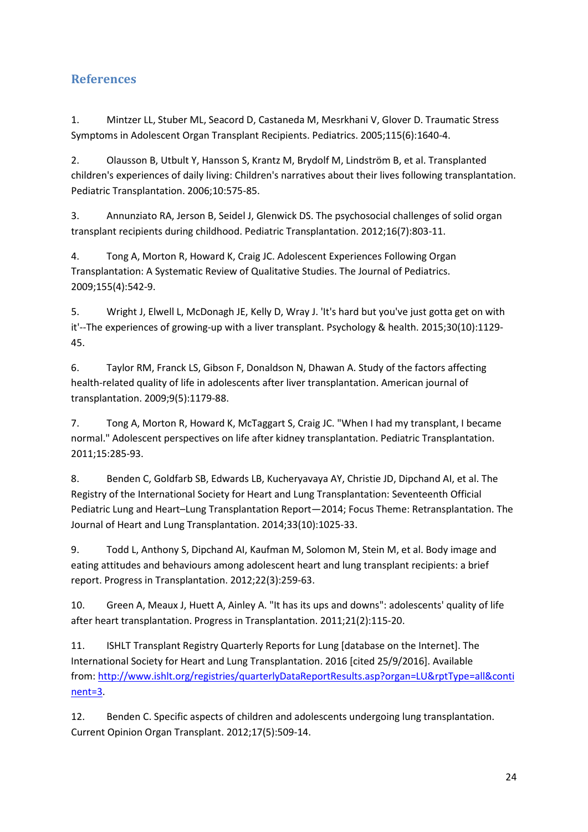# **References**

<span id="page-23-0"></span>1. Mintzer LL, Stuber ML, Seacord D, Castaneda M, Mesrkhani V, Glover D. Traumatic Stress Symptoms in Adolescent Organ Transplant Recipients. Pediatrics. 2005;115(6):1640-4.

<span id="page-23-1"></span>2. Olausson B, Utbult Y, Hansson S, Krantz M, Brydolf M, Lindström B, et al. Transplanted children's experiences of daily living: Children's narratives about their lives following transplantation. Pediatric Transplantation. 2006;10:575-85.

<span id="page-23-2"></span>3. Annunziato RA, Jerson B, Seidel J, Glenwick DS. The psychosocial challenges of solid organ transplant recipients during childhood. Pediatric Transplantation. 2012;16(7):803-11.

<span id="page-23-3"></span>4. Tong A, Morton R, Howard K, Craig JC. Adolescent Experiences Following Organ Transplantation: A Systematic Review of Qualitative Studies. The Journal of Pediatrics. 2009;155(4):542-9.

<span id="page-23-4"></span>5. Wright J, Elwell L, McDonagh JE, Kelly D, Wray J. 'It's hard but you've just gotta get on with it'--The experiences of growing-up with a liver transplant. Psychology & health. 2015;30(10):1129- 45.

<span id="page-23-5"></span>6. Taylor RM, Franck LS, Gibson F, Donaldson N, Dhawan A. Study of the factors affecting health-related quality of life in adolescents after liver transplantation. American journal of transplantation. 2009;9(5):1179-88.

<span id="page-23-6"></span>7. Tong A, Morton R, Howard K, McTaggart S, Craig JC. "When I had my transplant, I became normal." Adolescent perspectives on life after kidney transplantation. Pediatric Transplantation. 2011;15:285-93.

<span id="page-23-7"></span>8. Benden C, Goldfarb SB, Edwards LB, Kucheryavaya AY, Christie JD, Dipchand AI, et al. The Registry of the International Society for Heart and Lung Transplantation: Seventeenth Official Pediatric Lung and Heart–Lung Transplantation Report—2014; Focus Theme: Retransplantation. The Journal of Heart and Lung Transplantation. 2014;33(10):1025-33.

<span id="page-23-8"></span>9. Todd L, Anthony S, Dipchand AI, Kaufman M, Solomon M, Stein M, et al. Body image and eating attitudes and behaviours among adolescent heart and lung transplant recipients: a brief report. Progress in Transplantation. 2012;22(3):259-63.

<span id="page-23-9"></span>10. Green A, Meaux J, Huett A, Ainley A. "It has its ups and downs": adolescents' quality of life after heart transplantation. Progress in Transplantation. 2011;21(2):115-20.

<span id="page-23-10"></span>11. ISHLT Transplant Registry Quarterly Reports for Lung [database on the Internet]. The International Society for Heart and Lung Transplantation. 2016 [cited 25/9/2016]. Available from: [http://www.ishlt.org/registries/quarterlyDataReportResults.asp?organ=LU&rptType=all&conti](http://www.ishlt.org/registries/quarterlyDataReportResults.asp?organ=LU&rptType=all&continent=3) [nent=3.](http://www.ishlt.org/registries/quarterlyDataReportResults.asp?organ=LU&rptType=all&continent=3)

<span id="page-23-11"></span>12. Benden C. Specific aspects of children and adolescents undergoing lung transplantation. Current Opinion Organ Transplant. 2012;17(5):509-14.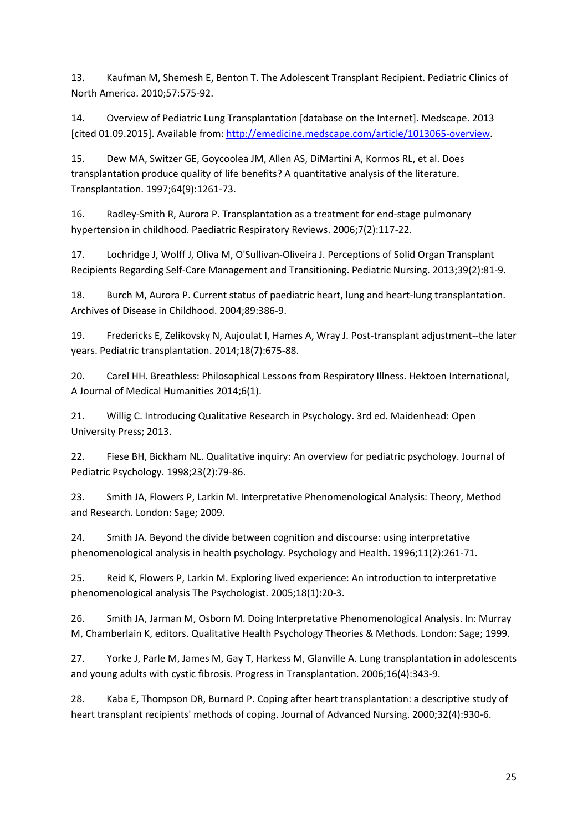<span id="page-24-0"></span>13. Kaufman M, Shemesh E, Benton T. The Adolescent Transplant Recipient. Pediatric Clinics of North America. 2010;57:575-92.

<span id="page-24-1"></span>14. Overview of Pediatric Lung Transplantation [database on the Internet]. Medscape. 2013 [cited 01.09.2015]. Available from: [http://emedicine.medscape.com/article/1013065-overview.](http://emedicine.medscape.com/article/1013065-overview)

<span id="page-24-2"></span>15. Dew MA, Switzer GE, Goycoolea JM, Allen AS, DiMartini A, Kormos RL, et al. Does transplantation produce quality of life benefits? A quantitative analysis of the literature. Transplantation. 1997;64(9):1261-73.

<span id="page-24-3"></span>16. Radley-Smith R, Aurora P. Transplantation as a treatment for end-stage pulmonary hypertension in childhood. Paediatric Respiratory Reviews. 2006;7(2):117-22.

<span id="page-24-4"></span>17. Lochridge J, Wolff J, Oliva M, O'Sullivan-Oliveira J. Perceptions of Solid Organ Transplant Recipients Regarding Self-Care Management and Transitioning. Pediatric Nursing. 2013;39(2):81-9.

<span id="page-24-5"></span>18. Burch M, Aurora P. Current status of paediatric heart, lung and heart-lung transplantation. Archives of Disease in Childhood. 2004;89:386-9.

<span id="page-24-6"></span>19. Fredericks E, Zelikovsky N, Aujoulat I, Hames A, Wray J. Post-transplant adjustment--the later years. Pediatric transplantation. 2014;18(7):675-88.

<span id="page-24-7"></span>20. Carel HH. Breathless: Philosophical Lessons from Respiratory Illness. Hektoen International, A Journal of Medical Humanities 2014;6(1).

<span id="page-24-8"></span>21. Willig C. Introducing Qualitative Research in Psychology. 3rd ed. Maidenhead: Open University Press; 2013.

<span id="page-24-9"></span>22. Fiese BH, Bickham NL. Qualitative inquiry: An overview for pediatric psychology. Journal of Pediatric Psychology. 1998;23(2):79-86.

<span id="page-24-10"></span>23. Smith JA, Flowers P, Larkin M. Interpretative Phenomenological Analysis: Theory, Method and Research. London: Sage; 2009.

<span id="page-24-11"></span>24. Smith JA. Beyond the divide between cognition and discourse: using interpretative phenomenological analysis in health psychology. Psychology and Health. 1996;11(2):261-71.

<span id="page-24-12"></span>25. Reid K, Flowers P, Larkin M. Exploring lived experience: An introduction to interpretative phenomenological analysis The Psychologist. 2005;18(1):20-3.

<span id="page-24-13"></span>26. Smith JA, Jarman M, Osborn M. Doing Interpretative Phenomenological Analysis. In: Murray M, Chamberlain K, editors. Qualitative Health Psychology Theories & Methods. London: Sage; 1999.

<span id="page-24-14"></span>27. Yorke J, Parle M, James M, Gay T, Harkess M, Glanville A. Lung transplantation in adolescents and young adults with cystic fibrosis. Progress in Transplantation. 2006;16(4):343-9.

<span id="page-24-15"></span>28. Kaba E, Thompson DR, Burnard P. Coping after heart transplantation: a descriptive study of heart transplant recipients' methods of coping. Journal of Advanced Nursing. 2000;32(4):930-6.